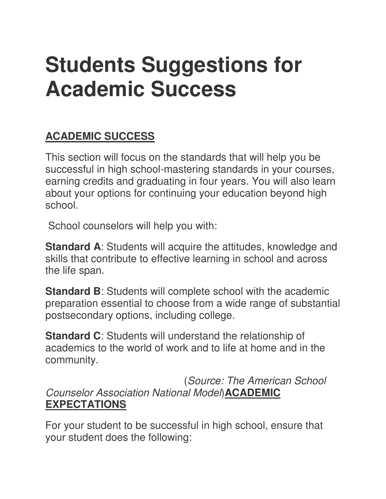# **Students Suggestions for Academic Success**

## **ACADEMIC SUCCESS**

This section will focus on the standards that will help you be successful in high school-mastering standards in your courses, earning credits and graduating in four years. You will also learn about your options for continuing your education beyond high school.

School counselors will help you with:

**Standard A:** Students will acquire the attitudes, knowledge and skills that contribute to effective learning in school and across the life span.

**Standard B:** Students will complete school with the academic preparation essential to choose from a wide range of substantial postsecondary options, including college.

**Standard C**: Students will understand the relationship of academics to the world of work and to life at home and in the community.

 (Source: The American School Counselor Association National Model)**ACADEMIC EXPECTATIONS**

For your student to be successful in high school, ensure that your student does the following: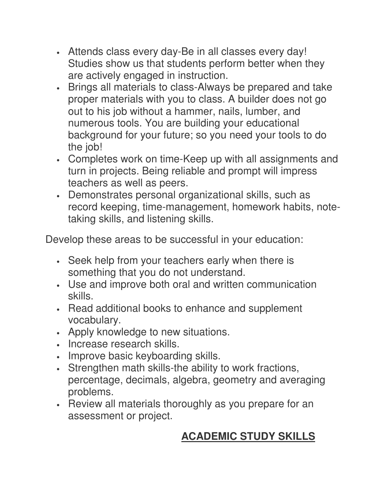- Attends class every day-Be in all classes every day! Studies show us that students perform better when they are actively engaged in instruction.
- Brings all materials to class-Always be prepared and take proper materials with you to class. A builder does not go out to his job without a hammer, nails, lumber, and numerous tools. You are building your educational background for your future; so you need your tools to do the job!
- Completes work on time-Keep up with all assignments and turn in projects. Being reliable and prompt will impress teachers as well as peers.
- Demonstrates personal organizational skills, such as record keeping, time-management, homework habits, notetaking skills, and listening skills.

Develop these areas to be successful in your education:

- Seek help from your teachers early when there is something that you do not understand.
- Use and improve both oral and written communication skills.
- Read additional books to enhance and supplement vocabulary.
- Apply knowledge to new situations.
- Increase research skills.
- Improve basic keyboarding skills.
- Strengthen math skills-the ability to work fractions, percentage, decimals, algebra, geometry and averaging problems.
- Review all materials thoroughly as you prepare for an assessment or project.

# **ACADEMIC STUDY SKILLS**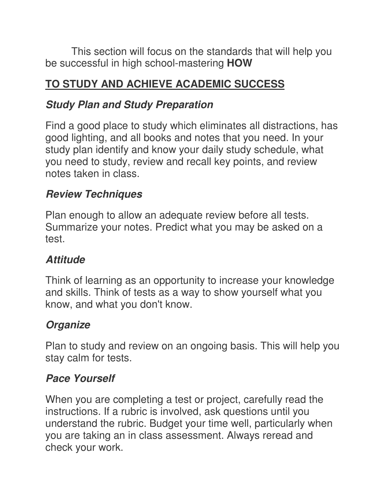This section will focus on the standards that will help you be successful in high school-mastering **HOW**

## **TO STUDY AND ACHIEVE ACADEMIC SUCCESS**

#### **Study Plan and Study Preparation**

Find a good place to study which eliminates all distractions, has good lighting, and all books and notes that you need. In your study plan identify and know your daily study schedule, what you need to study, review and recall key points, and review notes taken in class.

## **Review Techniques**

Plan enough to allow an adequate review before all tests. Summarize your notes. Predict what you may be asked on a test.

## **Attitude**

Think of learning as an opportunity to increase your knowledge and skills. Think of tests as a way to show yourself what you know, and what you don't know.

# **Organize**

Plan to study and review on an ongoing basis. This will help you stay calm for tests.

#### **Pace Yourself**

When you are completing a test or project, carefully read the instructions. If a rubric is involved, ask questions until you understand the rubric. Budget your time well, particularly when you are taking an in class assessment. Always reread and check your work.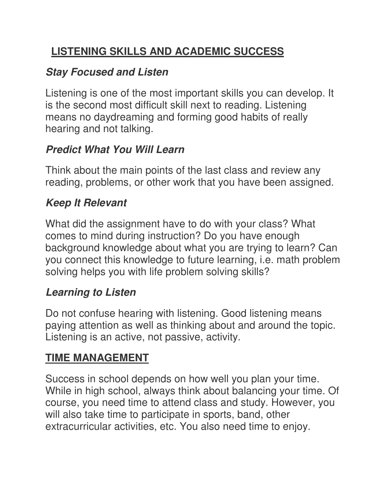# **LISTENING SKILLS AND ACADEMIC SUCCESS**

#### **Stay Focused and Listen**

Listening is one of the most important skills you can develop. It is the second most difficult skill next to reading. Listening means no daydreaming and forming good habits of really hearing and not talking.

#### **Predict What You Will Learn**

Think about the main points of the last class and review any reading, problems, or other work that you have been assigned.

#### **Keep It Relevant**

What did the assignment have to do with your class? What comes to mind during instruction? Do you have enough background knowledge about what you are trying to learn? Can you connect this knowledge to future learning, i.e. math problem solving helps you with life problem solving skills?

#### **Learning to Listen**

Do not confuse hearing with listening. Good listening means paying attention as well as thinking about and around the topic. Listening is an active, not passive, activity.

## **TIME MANAGEMENT**

Success in school depends on how well you plan your time. While in high school, always think about balancing your time. Of course, you need time to attend class and study. However, you will also take time to participate in sports, band, other extracurricular activities, etc. You also need time to enjoy.